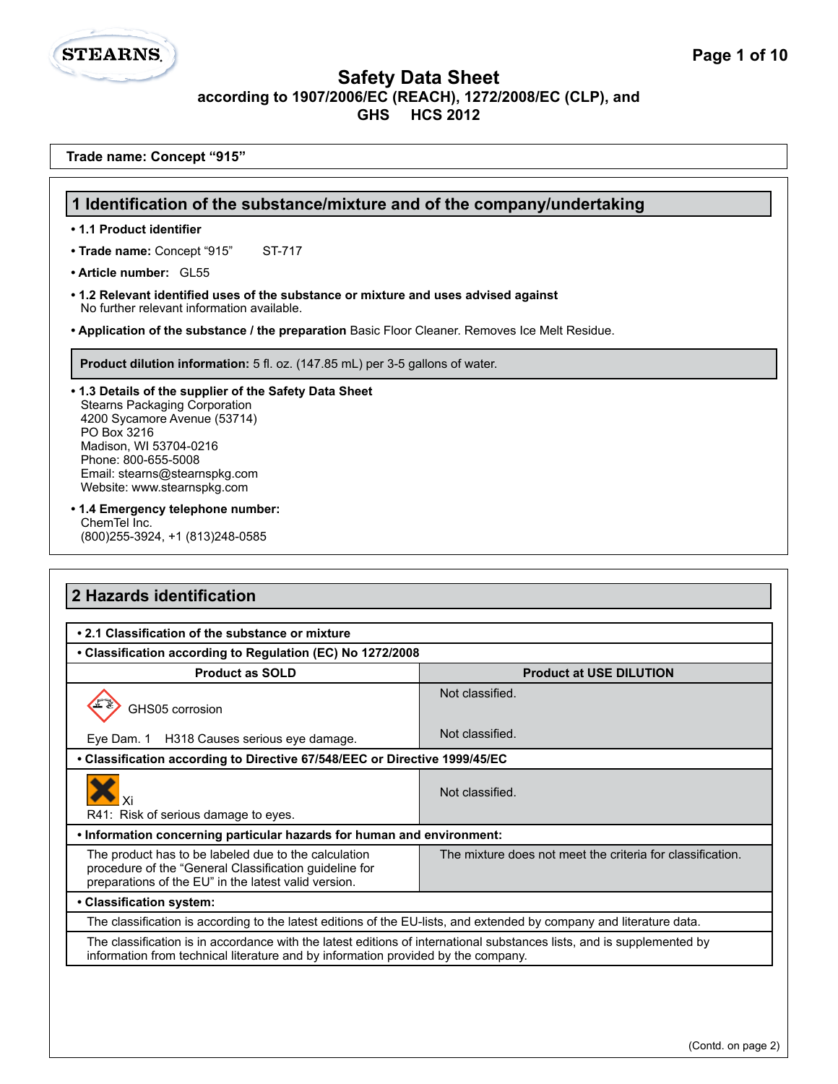**1 Identification of the substance/mixture and of the company/undertaking**

**Trade name: Concept "915"**

• Trade name: Concept "915" ST-717

**• 1.1 Product identifier**

**STEARNS.** 

| . Application of the substance / the preparation Basic Floor Cleaner. Removes Ice Melt Residue.                                                                                                                                                                                                                                                                                                                                                                              |                                                            |
|------------------------------------------------------------------------------------------------------------------------------------------------------------------------------------------------------------------------------------------------------------------------------------------------------------------------------------------------------------------------------------------------------------------------------------------------------------------------------|------------------------------------------------------------|
| Product dilution information: 5 fl. oz. (147.85 mL) per 3-5 gallons of water.                                                                                                                                                                                                                                                                                                                                                                                                |                                                            |
| .1.3 Details of the supplier of the Safety Data Sheet<br><b>Stearns Packaging Corporation</b><br>4200 Sycamore Avenue (53714)<br>PO Box 3216<br>Madison, WI 53704-0216<br>Phone: 800-655-5008<br>Email: stearns@stearnspkg.com<br>Website: www.stearnspkg.com                                                                                                                                                                                                                |                                                            |
| • 1.4 Emergency telephone number:<br>ChemTel Inc.<br>(800) 255-3924, +1 (813) 248-0585                                                                                                                                                                                                                                                                                                                                                                                       |                                                            |
|                                                                                                                                                                                                                                                                                                                                                                                                                                                                              |                                                            |
|                                                                                                                                                                                                                                                                                                                                                                                                                                                                              |                                                            |
| <b>Product as SOLD</b>                                                                                                                                                                                                                                                                                                                                                                                                                                                       | <b>Product at USE DILUTION</b>                             |
| GHS05 corrosion                                                                                                                                                                                                                                                                                                                                                                                                                                                              | Not classified.                                            |
| Eve Dam. 1<br>H318 Causes serious eye damage.                                                                                                                                                                                                                                                                                                                                                                                                                                | Not classified.                                            |
|                                                                                                                                                                                                                                                                                                                                                                                                                                                                              |                                                            |
| Xi                                                                                                                                                                                                                                                                                                                                                                                                                                                                           | Not classified.                                            |
| R41: Risk of serious damage to eyes.                                                                                                                                                                                                                                                                                                                                                                                                                                         |                                                            |
| 2 Hazards identification<br>• 2.1 Classification of the substance or mixture<br>• Classification according to Regulation (EC) No 1272/2008<br>• Classification according to Directive 67/548/EEC or Directive 1999/45/EC<br>. Information concerning particular hazards for human and environment:<br>The product has to be labeled due to the calculation<br>procedure of the "General Classification guideline for<br>preparations of the EU" in the latest valid version. | The mixture does not meet the criteria for classification. |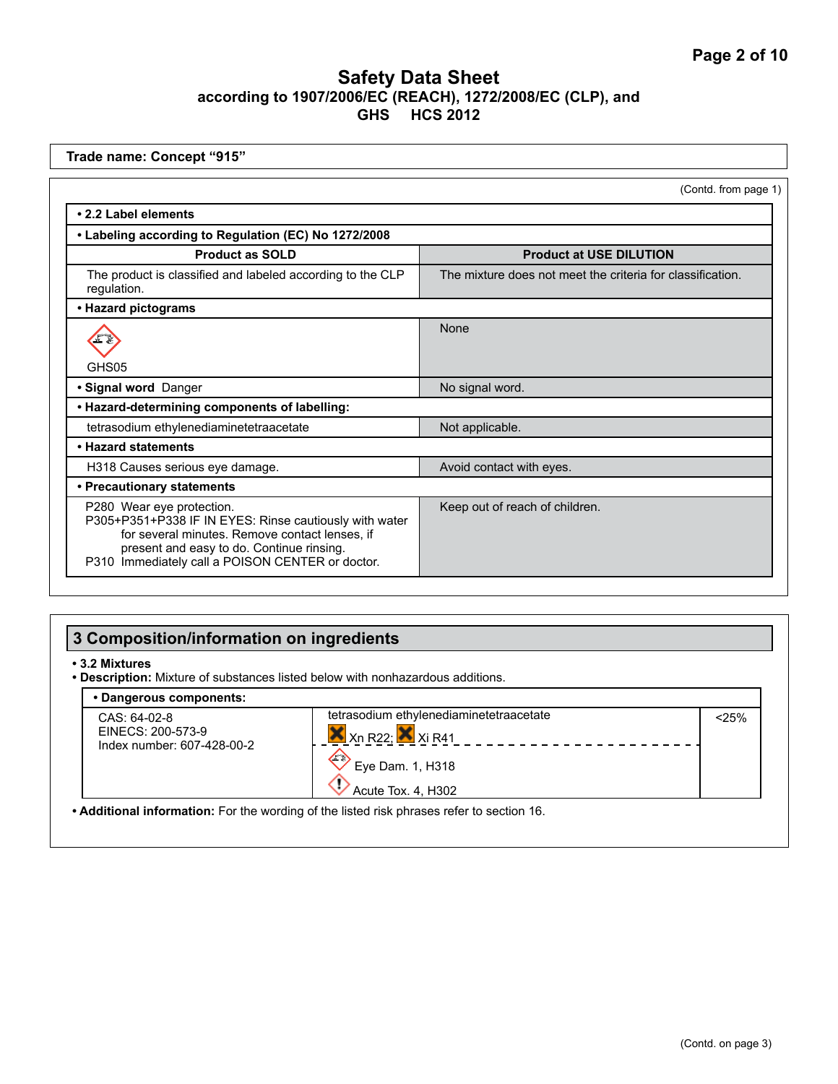| Trade name: Concept "915"                                                                                                                                                                                                              |                                                            |
|----------------------------------------------------------------------------------------------------------------------------------------------------------------------------------------------------------------------------------------|------------------------------------------------------------|
|                                                                                                                                                                                                                                        | (Contd. from page 1)                                       |
| • 2.2 Label elements                                                                                                                                                                                                                   |                                                            |
| • Labeling according to Regulation (EC) No 1272/2008                                                                                                                                                                                   |                                                            |
| <b>Product as SOLD</b>                                                                                                                                                                                                                 | <b>Product at USE DILUTION</b>                             |
| The product is classified and labeled according to the CLP<br>regulation.                                                                                                                                                              | The mixture does not meet the criteria for classification. |
| • Hazard pictograms                                                                                                                                                                                                                    |                                                            |
|                                                                                                                                                                                                                                        | None                                                       |
| GHS05                                                                                                                                                                                                                                  |                                                            |
| · Signal word Danger                                                                                                                                                                                                                   | No signal word.                                            |
| • Hazard-determining components of labelling:                                                                                                                                                                                          |                                                            |
| tetrasodium ethylenediaminetetraacetate                                                                                                                                                                                                | Not applicable.                                            |
| • Hazard statements                                                                                                                                                                                                                    |                                                            |
| H318 Causes serious eye damage.                                                                                                                                                                                                        | Avoid contact with eyes.                                   |
| • Precautionary statements                                                                                                                                                                                                             |                                                            |
| P280 Wear eye protection.<br>P305+P351+P338 IF IN EYES: Rinse cautiously with water<br>for several minutes. Remove contact lenses, if<br>present and easy to do. Continue rinsing.<br>P310 Immediately call a POISON CENTER or doctor. | Keep out of reach of children.                             |

# **3 Composition/information on ingredients**

#### **• 3.2 Mixtures**

**• Description:** Mixture of substances listed below with nonhazardous additions.

| CAS: 64-02-8                                    | tetrasodium ethylenediaminetetraacetate | < 25% |
|-------------------------------------------------|-----------------------------------------|-------|
| EINECS: 200-573-9<br>Index number: 607-428-00-2 | $X$ Xn R22; $X$ Xi R41                  |       |
|                                                 | $\sqrt{2}$                              |       |
|                                                 | Eye Dam. 1, H318                        |       |
|                                                 | Acute Tox. 4. H302                      |       |

**• Additional information:** For the wording of the listed risk phrases refer to section 16.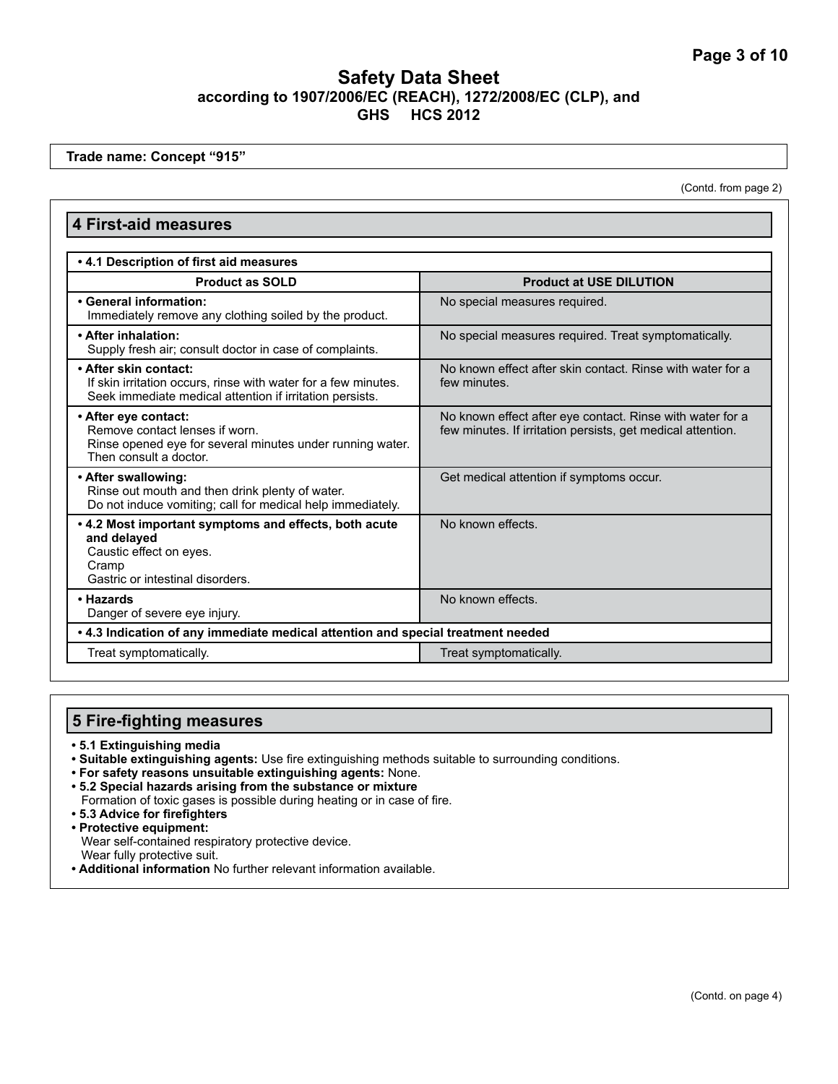**Trade name: Concept "915"**

(Contd. from page 2)

#### **4 First-aid measures • 4.1 Description of first aid measures Product as SOLD Product at USE DILUTION • General information:**  Immediately remove any clothing soiled by the product. No special measures required. **• After inhalation:**  Supply fresh air; consult doctor in case of complaints. No special measures required. Treat symptomatically. **• After skin contact:** If skin irritation occurs, rinse with water for a few minutes. Seek immediate medical attention if irritation persists. No known effect after skin contact. Rinse with water for a few minutes. **• After eye contact:** Remove contact lenses if worn. Rinse opened eye for several minutes under running water. Then consult a doctor. No known effect after eye contact. Rinse with water for a few minutes. If irritation persists, get medical attention. **• After swallowing:**  Rinse out mouth and then drink plenty of water. Do not induce vomiting; call for medical help immediately. Get medical attention if symptoms occur. **• 4.2 Most important symptoms and effects, both acute and delayed**  Caustic effect on eyes. Cramp Gastric or intestinal disorders. No known effects. **• Hazards**  Danger of severe eye injury. No known effects. **• 4.3 Indication of any immediate medical attention and special treatment needed** Treat symptomatically. Treat symptomatically.

# **5 Fire-fighting measures**

- **5.1 Extinguishing media**
- **Suitable extinguishing agents:** Use fire extinguishing methods suitable to surrounding conditions.
- **For safety reasons unsuitable extinguishing agents:** None.
- **5.2 Special hazards arising from the substance or mixture**
- Formation of toxic gases is possible during heating or in case of fire.
- **5.3 Advice for firefighters**
- **Protective equipment:** Wear self-contained respiratory protective device. Wear fully protective suit.
- **Additional information** No further relevant information available.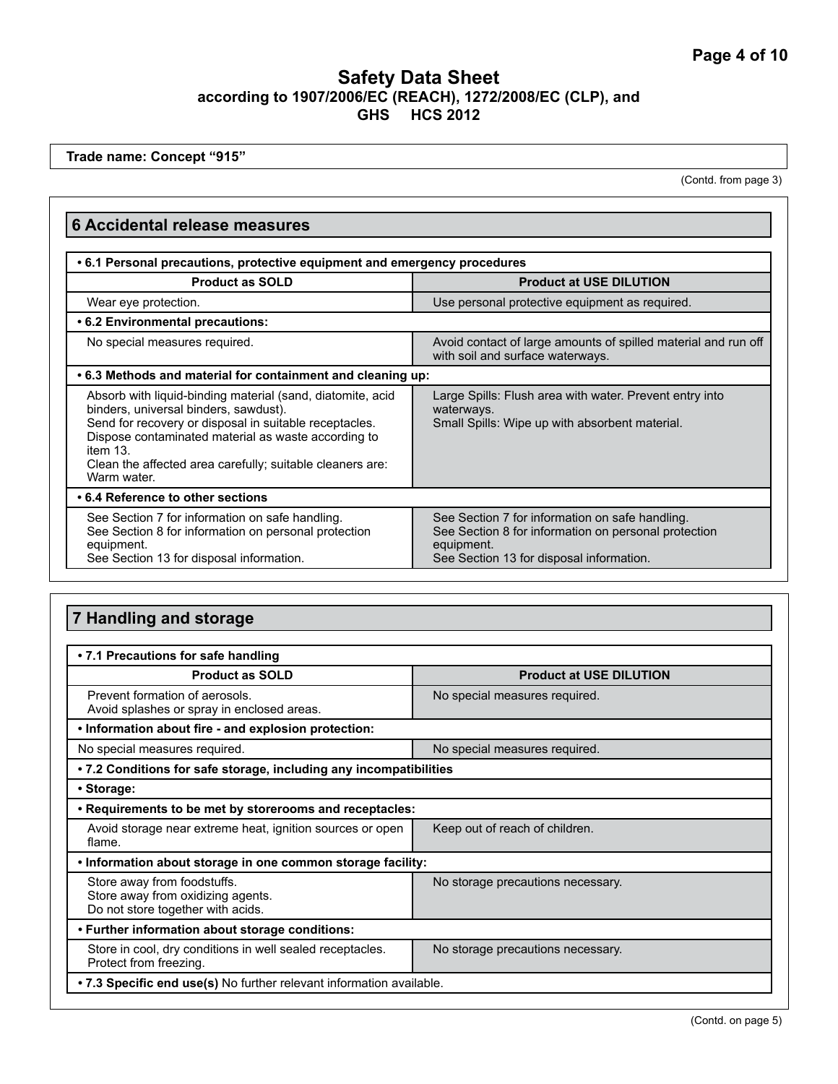**Trade name: Concept "915"**

(Contd. from page 3)

## **6 Accidental release measures**

| • 6.1 Personal precautions, protective equipment and emergency procedures                                                                                                                                                                                                                                    |                                                                                                                                                                   |  |
|--------------------------------------------------------------------------------------------------------------------------------------------------------------------------------------------------------------------------------------------------------------------------------------------------------------|-------------------------------------------------------------------------------------------------------------------------------------------------------------------|--|
| <b>Product as SOLD</b>                                                                                                                                                                                                                                                                                       | <b>Product at USE DILUTION</b>                                                                                                                                    |  |
| Wear eye protection.                                                                                                                                                                                                                                                                                         | Use personal protective equipment as required.                                                                                                                    |  |
| • 6.2 Environmental precautions:                                                                                                                                                                                                                                                                             |                                                                                                                                                                   |  |
| No special measures required.                                                                                                                                                                                                                                                                                | Avoid contact of large amounts of spilled material and run off<br>with soil and surface waterways.                                                                |  |
| .6.3 Methods and material for containment and cleaning up:                                                                                                                                                                                                                                                   |                                                                                                                                                                   |  |
| Absorb with liquid-binding material (sand, diatomite, acid<br>binders, universal binders, sawdust).<br>Send for recovery or disposal in suitable receptacles.<br>Dispose contaminated material as waste according to<br>item 13.<br>Clean the affected area carefully; suitable cleaners are:<br>Warm water. | Large Spills: Flush area with water. Prevent entry into<br>waterways.<br>Small Spills: Wipe up with absorbent material.                                           |  |
| • 6.4 Reference to other sections                                                                                                                                                                                                                                                                            |                                                                                                                                                                   |  |
| See Section 7 for information on safe handling.<br>See Section 8 for information on personal protection<br>equipment.<br>See Section 13 for disposal information.                                                                                                                                            | See Section 7 for information on safe handling.<br>See Section 8 for information on personal protection<br>equipment.<br>See Section 13 for disposal information. |  |

# **7 Handling and storage**

| • 7.1 Precautions for safe handling                                                                   |                                   |  |
|-------------------------------------------------------------------------------------------------------|-----------------------------------|--|
| <b>Product as SOLD</b>                                                                                | <b>Product at USE DILUTION</b>    |  |
| Prevent formation of aerosols.<br>Avoid splashes or spray in enclosed areas.                          | No special measures required.     |  |
| . Information about fire - and explosion protection:                                                  |                                   |  |
| No special measures required.                                                                         | No special measures required.     |  |
| • 7.2 Conditions for safe storage, including any incompatibilities                                    |                                   |  |
| · Storage:                                                                                            |                                   |  |
| • Requirements to be met by storerooms and receptacles:                                               |                                   |  |
| Avoid storage near extreme heat, ignition sources or open<br>flame.                                   | Keep out of reach of children.    |  |
| • Information about storage in one common storage facility:                                           |                                   |  |
| Store away from foodstuffs.<br>Store away from oxidizing agents.<br>Do not store together with acids. | No storage precautions necessary. |  |
| • Further information about storage conditions:                                                       |                                   |  |
| Store in cool, dry conditions in well sealed receptacles.<br>Protect from freezing.                   | No storage precautions necessary. |  |
| .7.3 Specific end use(s) No further relevant information available.                                   |                                   |  |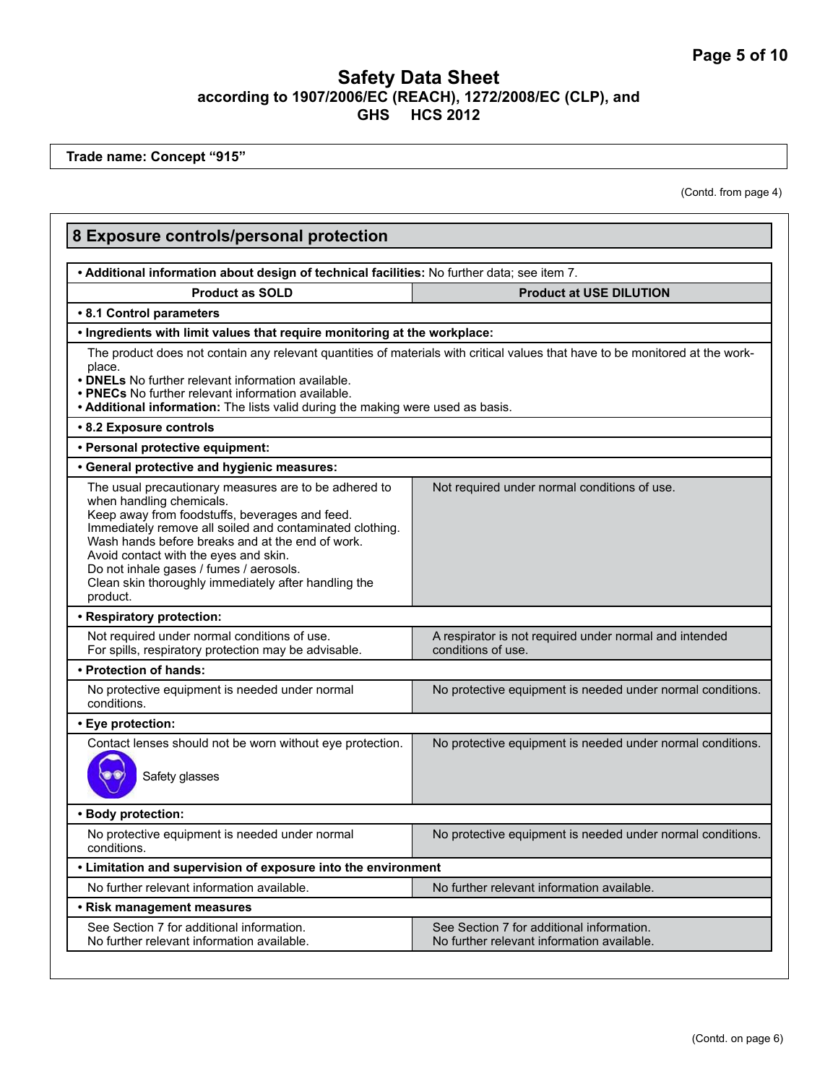**Trade name: Concept "915"**

(Contd. from page 4)

| 8 Exposure controls/personal protection<br>. Additional information about design of technical facilities: No further data; see item 7.                                                                                                                                                                                                                                                                      |                                                                                                                               |
|-------------------------------------------------------------------------------------------------------------------------------------------------------------------------------------------------------------------------------------------------------------------------------------------------------------------------------------------------------------------------------------------------------------|-------------------------------------------------------------------------------------------------------------------------------|
|                                                                                                                                                                                                                                                                                                                                                                                                             |                                                                                                                               |
| • 8.1 Control parameters                                                                                                                                                                                                                                                                                                                                                                                    |                                                                                                                               |
| . Ingredients with limit values that require monitoring at the workplace:                                                                                                                                                                                                                                                                                                                                   |                                                                                                                               |
| place.<br>• DNELs No further relevant information available.<br>• PNECs No further relevant information available.<br>. Additional information: The lists valid during the making were used as basis.                                                                                                                                                                                                       | The product does not contain any relevant quantities of materials with critical values that have to be monitored at the work- |
| • 8.2 Exposure controls                                                                                                                                                                                                                                                                                                                                                                                     |                                                                                                                               |
| · Personal protective equipment:                                                                                                                                                                                                                                                                                                                                                                            |                                                                                                                               |
| • General protective and hygienic measures:                                                                                                                                                                                                                                                                                                                                                                 |                                                                                                                               |
| The usual precautionary measures are to be adhered to<br>when handling chemicals.<br>Keep away from foodstuffs, beverages and feed.<br>Immediately remove all soiled and contaminated clothing.<br>Wash hands before breaks and at the end of work.<br>Avoid contact with the eyes and skin.<br>Do not inhale gases / fumes / aerosols.<br>Clean skin thoroughly immediately after handling the<br>product. | Not required under normal conditions of use.                                                                                  |
| • Respiratory protection:                                                                                                                                                                                                                                                                                                                                                                                   |                                                                                                                               |
| Not required under normal conditions of use.<br>For spills, respiratory protection may be advisable.                                                                                                                                                                                                                                                                                                        | A respirator is not required under normal and intended<br>conditions of use.                                                  |
| • Protection of hands:                                                                                                                                                                                                                                                                                                                                                                                      |                                                                                                                               |
| No protective equipment is needed under normal<br>conditions.                                                                                                                                                                                                                                                                                                                                               | No protective equipment is needed under normal conditions.                                                                    |
| • Eye protection:                                                                                                                                                                                                                                                                                                                                                                                           |                                                                                                                               |
| Contact lenses should not be worn without eye protection.<br>Safety glasses                                                                                                                                                                                                                                                                                                                                 | No protective equipment is needed under normal conditions.                                                                    |
| · Body protection:                                                                                                                                                                                                                                                                                                                                                                                          |                                                                                                                               |
| No protective equipment is needed under normal<br>conditions.                                                                                                                                                                                                                                                                                                                                               | No protective equipment is needed under normal conditions.                                                                    |
| • Limitation and supervision of exposure into the environment                                                                                                                                                                                                                                                                                                                                               |                                                                                                                               |
| No further relevant information available.                                                                                                                                                                                                                                                                                                                                                                  | No further relevant information available.                                                                                    |
| • Risk management measures                                                                                                                                                                                                                                                                                                                                                                                  |                                                                                                                               |
| See Section 7 for additional information.<br>No further relevant information available.                                                                                                                                                                                                                                                                                                                     | See Section 7 for additional information.<br>No further relevant information available.                                       |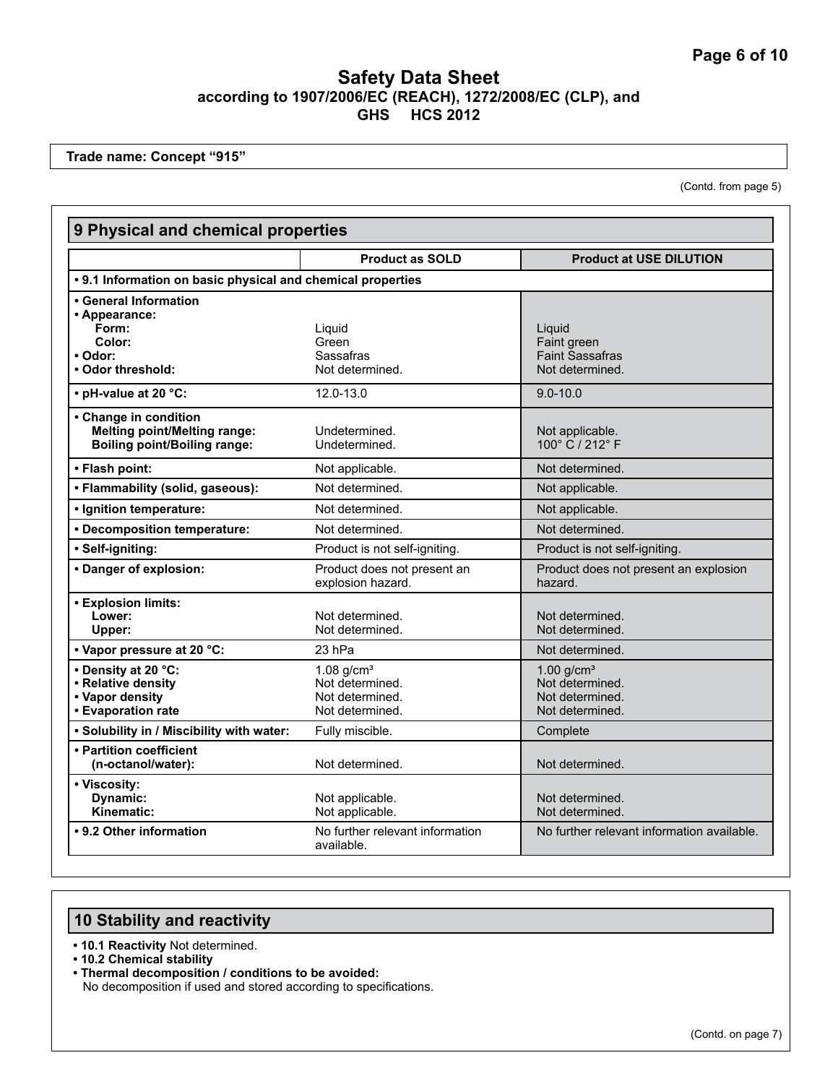**Trade name: Concept "915"**

(Contd. from page 5)

| 9 Physical and chemical properties                                                                  |                                                                                   |                                                                                   |
|-----------------------------------------------------------------------------------------------------|-----------------------------------------------------------------------------------|-----------------------------------------------------------------------------------|
|                                                                                                     | <b>Product as SOLD</b>                                                            | <b>Product at USE DILUTION</b>                                                    |
| • 9.1 Information on basic physical and chemical properties                                         |                                                                                   |                                                                                   |
| • General Information<br>• Appearance:<br>Form:<br>Color:<br>• Odor:                                | Liquid<br>Green<br>Sassafras                                                      | Liguid<br>Faint green<br><b>Faint Sassafras</b>                                   |
| • Odor threshold:                                                                                   | Not determined.                                                                   | Not determined.                                                                   |
| • pH-value at 20 °C:                                                                                | 12.0-13.0                                                                         | $9.0 - 10.0$                                                                      |
| • Change in condition<br><b>Melting point/Melting range:</b><br><b>Boiling point/Boiling range:</b> | Undetermined.<br>Undetermined.                                                    | Not applicable.<br>100° C / 212° F                                                |
| • Flash point:                                                                                      | Not applicable.                                                                   | Not determined.                                                                   |
| • Flammability (solid, gaseous):                                                                    | Not determined.                                                                   | Not applicable.                                                                   |
| · Ignition temperature:                                                                             | Not determined.                                                                   | Not applicable.                                                                   |
| • Decomposition temperature:                                                                        | Not determined.                                                                   | Not determined.                                                                   |
| · Self-igniting:                                                                                    | Product is not self-igniting.                                                     | Product is not self-igniting                                                      |
| • Danger of explosion:                                                                              | Product does not present an<br>explosion hazard.                                  | Product does not present an explosion<br>hazard.                                  |
| <b>• Explosion limits:</b><br>Lower:<br>Upper:                                                      | Not determined.<br>Not determined.                                                | Not determined.<br>Not determined.                                                |
| • Vapor pressure at 20 °C:                                                                          | 23 hPa                                                                            | Not determined.                                                                   |
| • Density at 20 °C:<br>• Relative density<br>• Vapor density<br>• Evaporation rate                  | $1.08$ g/cm <sup>3</sup><br>Not determined.<br>Not determined.<br>Not determined. | $1.00$ g/cm <sup>3</sup><br>Not determined.<br>Not determined.<br>Not determined. |
| . Solubility in / Miscibility with water:                                                           | Fully miscible.                                                                   | Complete                                                                          |
| • Partition coefficient<br>(n-octanol/water):                                                       | Not determined.                                                                   | Not determined.                                                                   |
| • Viscosity:<br>Dynamic:<br>Kinematic:                                                              | Not applicable.<br>Not applicable.                                                | Not determined.<br>Not determined.                                                |
| • 9.2 Other information                                                                             | No further relevant information<br>available.                                     | No further relevant information available.                                        |

# **10 Stability and reactivity**

- **10.1 Reactivity** Not determined.
- **10.2 Chemical stability**
- **Thermal decomposition / conditions to be avoided:** No decomposition if used and stored according to specifications.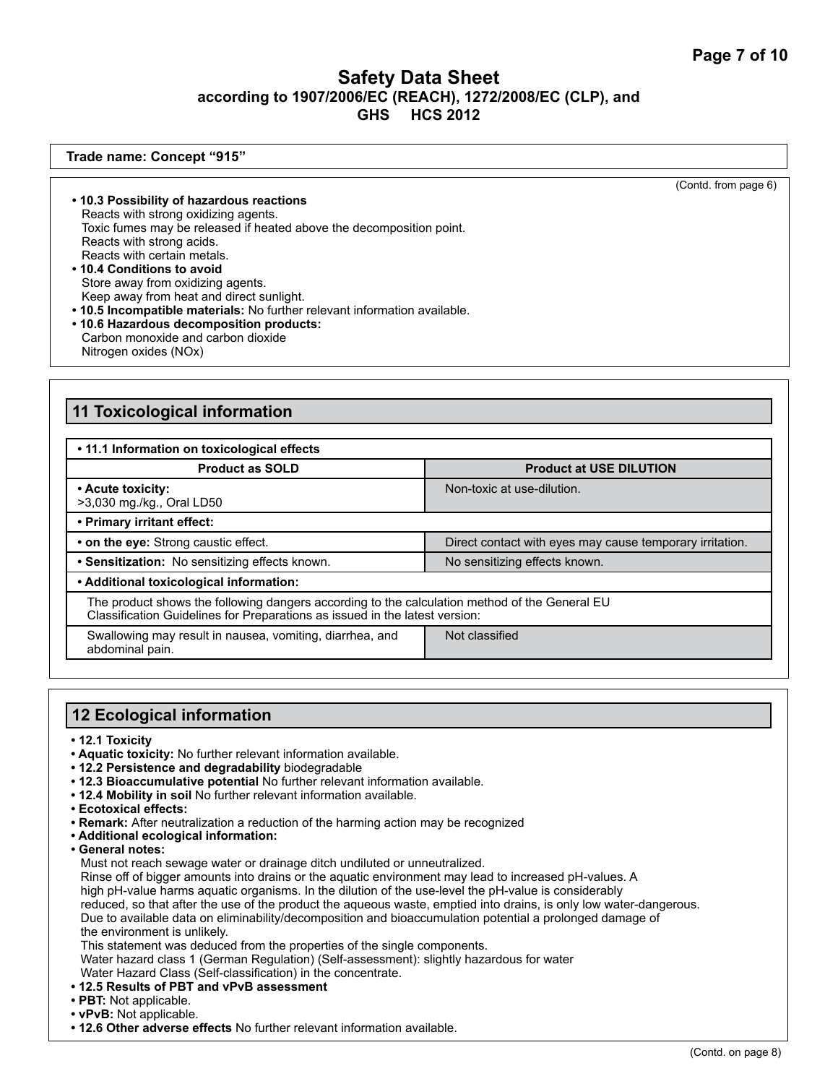#### **Trade name: Concept "915"**

(Contd. from page 6)

- **10.3 Possibility of hazardous reactions** Reacts with strong oxidizing agents. Toxic fumes may be released if heated above the decomposition point. Reacts with strong acids. Reacts with certain metals.
- **10.4 Conditions to avoid**  Store away from oxidizing agents. Keep away from heat and direct sunlight.
- **10.5 Incompatible materials:** No further relevant information available. **• 10.6 Hazardous decomposition products:** Carbon monoxide and carbon dioxide Nitrogen oxides (NOx)

# **11 Toxicological information**

| . 11.1 Information on toxicological effects                                                                                                                                  |                                                          |
|------------------------------------------------------------------------------------------------------------------------------------------------------------------------------|----------------------------------------------------------|
| <b>Product as SOLD</b>                                                                                                                                                       | <b>Product at USE DILUTION</b>                           |
| • Acute toxicity:<br>>3,030 mg./kg., Oral LD50                                                                                                                               | Non-toxic at use-dilution.                               |
| • Primary irritant effect:                                                                                                                                                   |                                                          |
| • on the eye: Strong caustic effect.                                                                                                                                         | Direct contact with eyes may cause temporary irritation. |
| • Sensitization: No sensitizing effects known.                                                                                                                               | No sensitizing effects known.                            |
| • Additional toxicological information:                                                                                                                                      |                                                          |
| The product shows the following dangers according to the calculation method of the General EU<br>Classification Guidelines for Preparations as issued in the latest version: |                                                          |
| Swallowing may result in nausea, vomiting, diarrhea, and<br>abdominal pain.                                                                                                  | Not classified                                           |

# **12 Ecological information**

- **12.1 Toxicity**
- **Aquatic toxicity:** No further relevant information available.
- **12.2 Persistence and degradability** biodegradable
- **12.3 Bioaccumulative potential** No further relevant information available.
- **12.4 Mobility in soil** No further relevant information available.
- **Ecotoxical effects:**
- **Remark:** After neutralization a reduction of the harming action may be recognized
- **Additional ecological information:**
- **General notes:**
	- Must not reach sewage water or drainage ditch undiluted or unneutralized.

Rinse off of bigger amounts into drains or the aquatic environment may lead to increased pH-values. A high pH-value harms aquatic organisms. In the dilution of the use-level the pH-value is considerably reduced, so that after the use of the product the aqueous waste, emptied into drains, is only low water-dangerous. Due to available data on eliminability/decomposition and bioaccumulation potential a prolonged damage of the environment is unlikely.

This statement was deduced from the properties of the single components.

Water hazard class 1 (German Regulation) (Self-assessment): slightly hazardous for water Water Hazard Class (Self-classification) in the concentrate.

- **12.5 Results of PBT and vPvB assessment**
- **PBT:** Not applicable.
- **vPvB:** Not applicable.
- **12.6 Other adverse effects** No further relevant information available.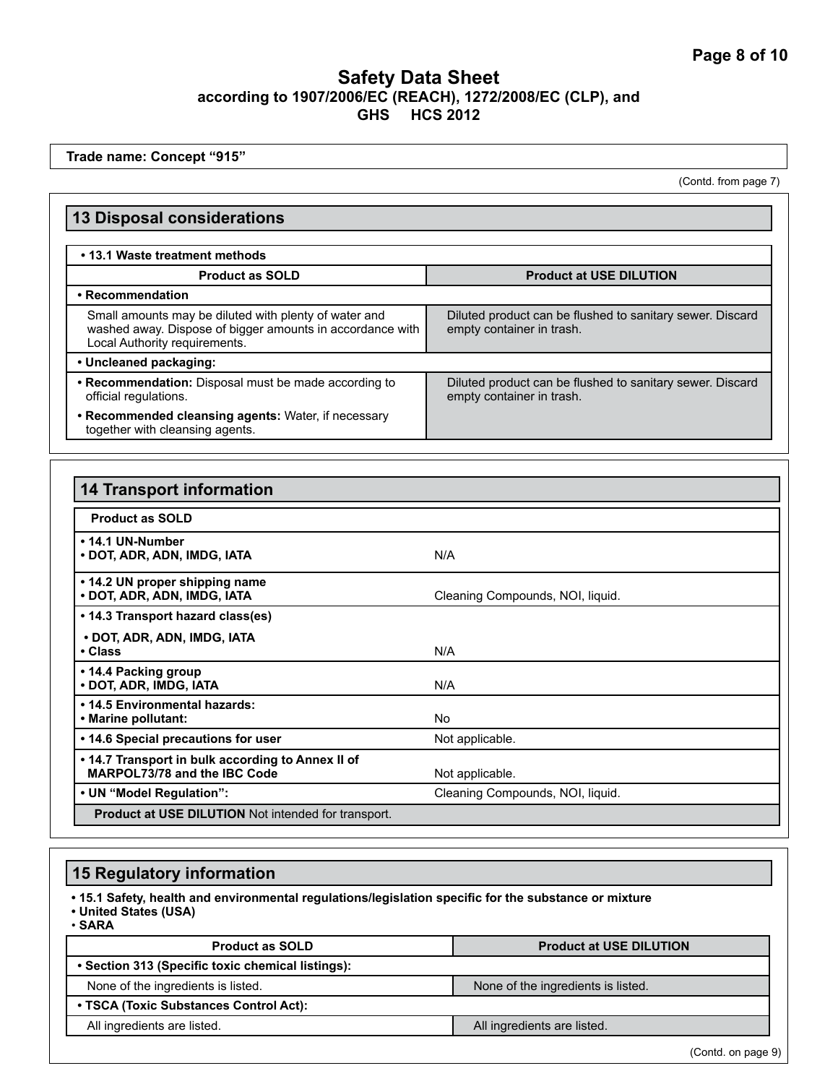**Trade name: Concept "915"**

(Contd. from page 7)

| <b>13 Disposal considerations</b>                                                                                                                   |                                                                                        |  |
|-----------------------------------------------------------------------------------------------------------------------------------------------------|----------------------------------------------------------------------------------------|--|
|                                                                                                                                                     |                                                                                        |  |
| • 13.1 Waste treatment methods                                                                                                                      |                                                                                        |  |
| <b>Product as SOLD</b>                                                                                                                              | <b>Product at USE DILUTION</b>                                                         |  |
| • Recommendation                                                                                                                                    |                                                                                        |  |
| Small amounts may be diluted with plenty of water and<br>washed away. Dispose of bigger amounts in accordance with<br>Local Authority requirements. | Diluted product can be flushed to sanitary sewer. Discard<br>empty container in trash. |  |
| • Uncleaned packaging:                                                                                                                              |                                                                                        |  |
| • Recommendation: Disposal must be made according to<br>official regulations.                                                                       | Diluted product can be flushed to sanitary sewer. Discard<br>empty container in trash. |  |
| • Recommended cleansing agents: Water, if necessary<br>together with cleansing agents.                                                              |                                                                                        |  |

| <b>14 Transport information</b>                                                   |                                  |
|-----------------------------------------------------------------------------------|----------------------------------|
| <b>Product as SOLD</b>                                                            |                                  |
| • 14.1 UN-Number<br>• DOT, ADR, ADN, IMDG, IATA                                   | N/A                              |
| • 14.2 UN proper shipping name<br>• DOT, ADR, ADN, IMDG, IATA                     | Cleaning Compounds, NOI, liquid. |
| • 14.3 Transport hazard class(es)                                                 |                                  |
| • DOT, ADR, ADN, IMDG, IATA<br>$\cdot$ Class                                      | N/A                              |
| • 14.4 Packing group<br>· DOT, ADR, IMDG, IATA                                    | N/A                              |
| . 14.5 Environmental hazards:<br>• Marine pollutant:                              | No.                              |
| • 14.6 Special precautions for user                                               | Not applicable.                  |
| . 14.7 Transport in bulk according to Annex II of<br>MARPOL73/78 and the IBC Code | Not applicable.                  |
| • UN "Model Regulation":                                                          | Cleaning Compounds, NOI, liquid. |
| <b>Product at USE DILUTION</b> Not intended for transport.                        |                                  |

# **15 Regulatory information**

**• 15.1 Safety, health and environmental regulations/legislation specific for the substance or mixture**

- **United States (USA)**
- **SARA**

| <b>Product as SOLD</b>                            | <b>Product at USE DILUTION</b>     |
|---------------------------------------------------|------------------------------------|
| • Section 313 (Specific toxic chemical listings): |                                    |
| None of the ingredients is listed.                | None of the ingredients is listed. |
| • TSCA (Toxic Substances Control Act):            |                                    |
| All ingredients are listed.                       | All ingredients are listed.        |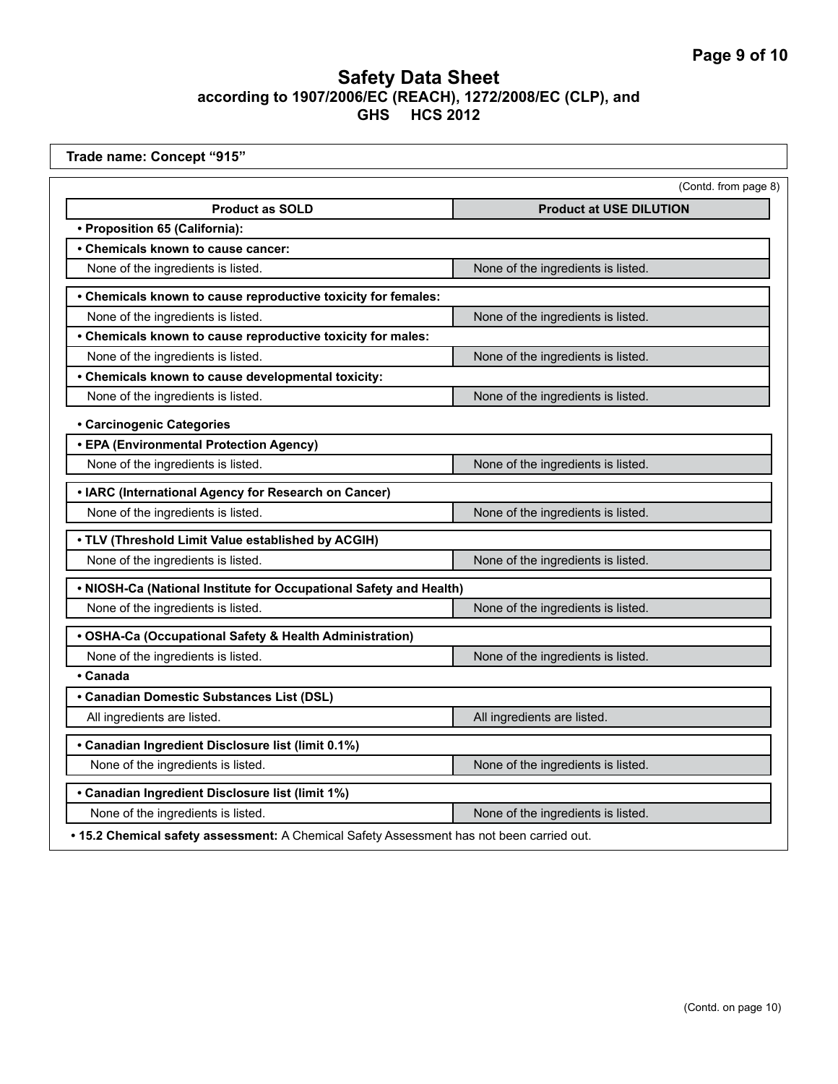| Trade name: Concept "915"                                          |                                    |
|--------------------------------------------------------------------|------------------------------------|
|                                                                    | (Contd. from page 8)               |
| <b>Product as SOLD</b>                                             | <b>Product at USE DILUTION</b>     |
| • Proposition 65 (California):                                     |                                    |
| • Chemicals known to cause cancer:                                 |                                    |
| None of the ingredients is listed.                                 | None of the ingredients is listed. |
| • Chemicals known to cause reproductive toxicity for females:      |                                    |
| None of the ingredients is listed.                                 | None of the ingredients is listed. |
| • Chemicals known to cause reproductive toxicity for males:        |                                    |
| None of the ingredients is listed.                                 | None of the ingredients is listed. |
| • Chemicals known to cause developmental toxicity:                 |                                    |
| None of the ingredients is listed.                                 | None of the ingredients is listed. |
| • Carcinogenic Categories                                          |                                    |
| • EPA (Environmental Protection Agency)                            |                                    |
| None of the ingredients is listed.                                 | None of the ingredients is listed. |
| • IARC (International Agency for Research on Cancer)               |                                    |
| None of the ingredients is listed.                                 | None of the ingredients is listed. |
| . TLV (Threshold Limit Value established by ACGIH)                 |                                    |
| None of the ingredients is listed.                                 | None of the ingredients is listed. |
| . NIOSH-Ca (National Institute for Occupational Safety and Health) |                                    |
| None of the ingredients is listed.                                 | None of the ingredients is listed. |
| • OSHA-Ca (Occupational Safety & Health Administration)            |                                    |
| None of the ingredients is listed.                                 | None of the ingredients is listed. |
| • Canada                                                           |                                    |
| • Canadian Domestic Substances List (DSL)                          |                                    |
| All ingredients are listed.                                        | All ingredients are listed.        |
| • Canadian Ingredient Disclosure list (limit 0.1%)                 |                                    |
| None of the ingredients is listed.                                 | None of the ingredients is listed. |
| • Canadian Ingredient Disclosure list (limit 1%)                   |                                    |
| None of the ingredients is listed.                                 | None of the ingredients is listed. |